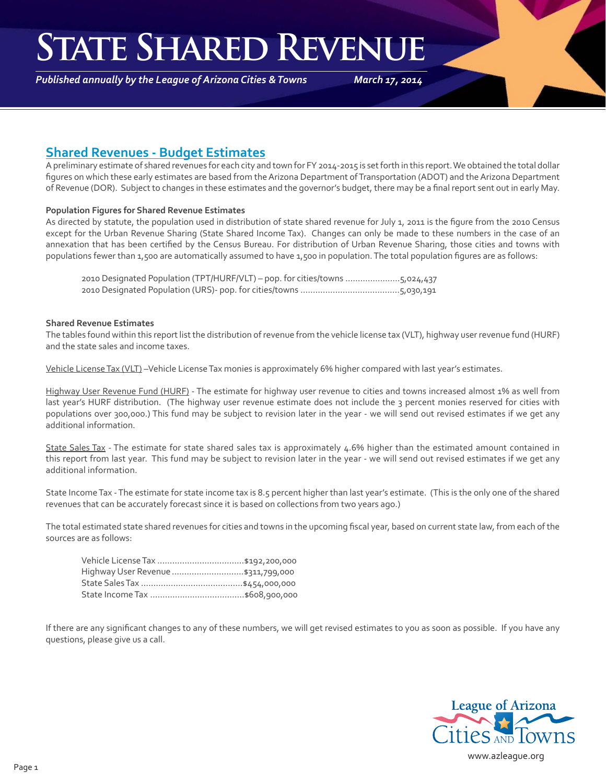### **State Shared Revenue**

*Published annually by the League of Arizona Cities & Towns*

*March 17, 2014*

### **Shared Revenues - Budget Estimates**

A preliminary estimate of shared revenues for each city and town for FY 2014-2015 is set forth in this report. We obtained the total dollar figures on which these early estimates are based from the Arizona Department of Transportation (ADOT) and the Arizona Department of Revenue (DOR). Subject to changes in these estimates and the governor's budget, there may be a final report sent out in early May.

#### **Population Figures for Shared Revenue Estimates**

As directed by statute, the population used in distribution of state shared revenue for July 1, 2011 is the figure from the 2010 Census except for the Urban Revenue Sharing (State Shared Income Tax). Changes can only be made to these numbers in the case of an annexation that has been certified by the Census Bureau. For distribution of Urban Revenue Sharing, those cities and towns with populations fewer than 1,500 are automatically assumed to have 1,500 in population. The total population figures are as follows:

|  | 2010 Designated Population (TPT/HURF/VLT) - pop. for cities/towns 5,024,437 |  |
|--|-----------------------------------------------------------------------------|--|
|  |                                                                             |  |

#### **Shared Revenue Estimates**

The tables found within this report list the distribution of revenue from the vehicle license tax (VLT), highway user revenue fund (HURF) and the state sales and income taxes.

Vehicle License Tax (VLT) –Vehicle License Tax monies is approximately 6% higher compared with last year's estimates.

Highway User Revenue Fund (HURF) - The estimate for highway user revenue to cities and towns increased almost 1% as well from last year's HURF distribution. (The highway user revenue estimate does not include the 3 percent monies reserved for cities with populations over 300,000.) This fund may be subject to revision later in the year - we will send out revised estimates if we get any additional information.

State Sales Tax - The estimate for state shared sales tax is approximately 4.6% higher than the estimated amount contained in this report from last year. This fund may be subject to revision later in the year - we will send out revised estimates if we get any additional information.

State Income Tax - The estimate for state income tax is 8.5 percent higher than last year's estimate. (This is the only one of the shared revenues that can be accurately forecast since it is based on collections from two years ago.)

The total estimated state shared revenues for cities and towns in the upcoming fiscal year, based on current state law, from each of the sources are as follows:

| Highway User Revenue  \$311,799,000 |
|-------------------------------------|
|                                     |
|                                     |

If there are any significant changes to any of these numbers, we will get revised estimates to you as soon as possible. If you have any questions, please give us a call.

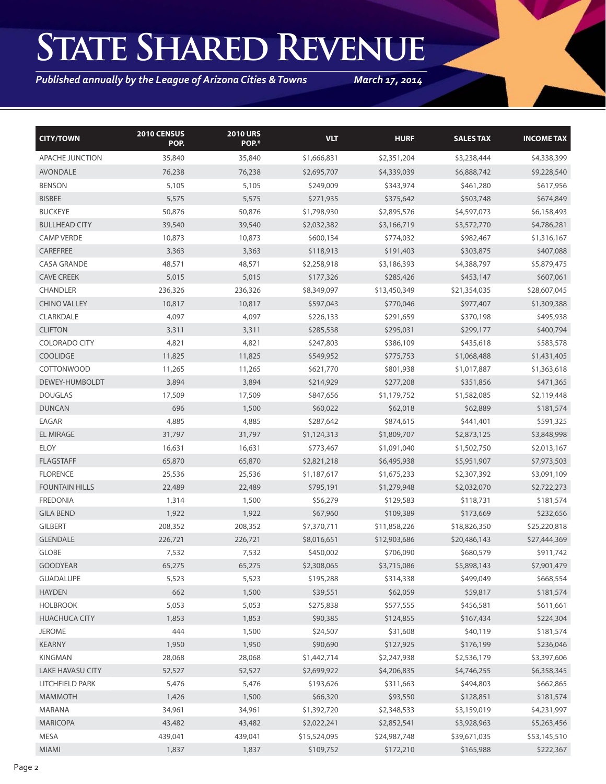## **State Shared Revenue**

*Published annually by the League of Arizona Cities & Towns*

*March 17, 2014*

| <b>CITY/TOWN</b>        | 2010 CENSUS<br>POP. | <b>2010 URS</b><br>POP.* | <b>VLT</b>   | <b>HURF</b>  | <b>SALES TAX</b> | <b>INCOME TAX</b> |
|-------------------------|---------------------|--------------------------|--------------|--------------|------------------|-------------------|
| APACHE JUNCTION         | 35,840              | 35,840                   | \$1,666,831  | \$2,351,204  | \$3,238,444      | \$4,338,399       |
| <b>AVONDALE</b>         | 76,238              | 76,238                   | \$2,695,707  | \$4,339,039  | \$6,888,742      | \$9,228,540       |
| <b>BENSON</b>           | 5,105               | 5,105                    | \$249,009    | \$343,974    | \$461,280        | \$617,956         |
| <b>BISBEE</b>           | 5,575               | 5,575                    | \$271,935    | \$375,642    | \$503,748        | \$674,849         |
| <b>BUCKEYE</b>          | 50,876              | 50,876                   | \$1,798,930  | \$2,895,576  | \$4,597,073      | \$6,158,493       |
| <b>BULLHEAD CITY</b>    | 39,540              | 39,540                   | \$2,032,382  | \$3,166,719  | \$3,572,770      | \$4,786,281       |
| <b>CAMP VERDE</b>       | 10,873              | 10,873                   | \$600,134    | \$774,032    | \$982,467        | \$1,316,167       |
| CAREFREE                | 3,363               | 3,363                    | \$118,913    | \$191,403    | \$303,875        | \$407,088         |
| <b>CASA GRANDE</b>      | 48,571              | 48,571                   | \$2,258,918  | \$3,186,393  | \$4,388,797      | \$5,879,475       |
| <b>CAVE CREEK</b>       | 5,015               | 5,015                    | \$177,326    | \$285,426    | \$453,147        | \$607,061         |
| <b>CHANDLER</b>         | 236,326             | 236,326                  | \$8,349,097  | \$13,450,349 | \$21,354,035     | \$28,607,045      |
| <b>CHINO VALLEY</b>     | 10,817              | 10,817                   | \$597,043    | \$770,046    | \$977,407        | \$1,309,388       |
| CLARKDALE               | 4,097               | 4,097                    | \$226,133    | \$291,659    | \$370,198        | \$495,938         |
| <b>CLIFTON</b>          | 3,311               | 3,311                    | \$285,538    | \$295,031    | \$299,177        | \$400,794         |
| <b>COLORADO CITY</b>    | 4,821               | 4,821                    | \$247,803    | \$386,109    | \$435,618        | \$583,578         |
| <b>COOLIDGE</b>         | 11,825              | 11,825                   | \$549,952    | \$775,753    | \$1,068,488      | \$1,431,405       |
| <b>COTTONWOOD</b>       | 11,265              | 11,265                   | \$621,770    | \$801,938    | \$1,017,887      | \$1,363,618       |
| DEWEY-HUMBOLDT          | 3,894               | 3,894                    | \$214,929    | \$277,208    | \$351,856        | \$471,365         |
| <b>DOUGLAS</b>          | 17,509              | 17,509                   | \$847,656    | \$1,179,752  | \$1,582,085      | \$2,119,448       |
| <b>DUNCAN</b>           | 696                 | 1,500                    | \$60,022     | \$62,018     | \$62,889         | \$181,574         |
| EAGAR                   | 4,885               | 4,885                    | \$287,642    | \$874,615    | \$441,401        | \$591,325         |
| <b>EL MIRAGE</b>        | 31,797              | 31,797                   | \$1,124,313  | \$1,809,707  | \$2,873,125      | \$3,848,998       |
| <b>ELOY</b>             | 16,631              | 16,631                   | \$773,467    | \$1,091,040  | \$1,502,750      | \$2,013,167       |
| <b>FLAGSTAFF</b>        | 65,870              | 65,870                   | \$2,821,218  | \$6,495,938  | \$5,951,907      | \$7,973,503       |
| <b>FLORENCE</b>         | 25,536              | 25,536                   | \$1,187,617  | \$1,675,233  | \$2,307,392      | \$3,091,109       |
| <b>FOUNTAIN HILLS</b>   | 22,489              | 22,489                   | \$795,191    | \$1,279,948  | \$2,032,070      | \$2,722,273       |
| <b>FREDONIA</b>         | 1,314               | 1,500                    | \$56,279     | \$129,583    | \$118,731        | \$181,574         |
| <b>GILA BEND</b>        | 1,922               | 1,922                    | \$67,960     | \$109,389    | \$173,669        | \$232,656         |
| <b>GILBERT</b>          | 208,352             | 208,352                  | \$7,370,711  | \$11,858,226 | \$18,826,350     | \$25,220,818      |
| <b>GLENDALE</b>         | 226,721             | 226,721                  | \$8,016,651  | \$12,903,686 | \$20,486,143     | \$27,444,369      |
| <b>GLOBE</b>            | 7,532               | 7,532                    | \$450,002    | \$706,090    | \$680,579        | \$911,742         |
| <b>GOODYEAR</b>         | 65,275              | 65,275                   | \$2,308,065  | \$3,715,086  | \$5,898,143      | \$7,901,479       |
| <b>GUADALUPE</b>        | 5,523               | 5,523                    | \$195,288    | \$314,338    | \$499,049        | \$668,554         |
| <b>HAYDEN</b>           | 662                 | 1,500                    | \$39,551     | \$62,059     | \$59,817         | \$181,574         |
| <b>HOLBROOK</b>         | 5,053               | 5,053                    | \$275,838    | \$577,555    | \$456,581        | \$611,661         |
| <b>HUACHUCA CITY</b>    | 1,853               | 1,853                    | \$90,385     | \$124,855    | \$167,434        | \$224,304         |
| <b>JEROME</b>           | 444                 | 1,500                    | \$24,507     | \$31,608     | \$40,119         | \$181,574         |
| <b>KEARNY</b>           | 1,950               | 1,950                    | \$90,690     | \$127,925    | \$176,199        | \$236,046         |
| KINGMAN                 | 28,068              | 28,068                   | \$1,442,714  | \$2,247,938  | \$2,536,179      | \$3,397,606       |
| <b>LAKE HAVASU CITY</b> | 52,527              | 52,527                   | \$2,699,922  | \$4,206,835  | \$4,746,255      | \$6,358,345       |
| LITCHFIELD PARK         | 5,476               | 5,476                    | \$193,626    | \$311,663    | \$494,803        | \$662,865         |
| <b>MAMMOTH</b>          | 1,426               | 1,500                    | \$66,320     | \$93,550     | \$128,851        | \$181,574         |
| MARANA                  | 34,961              | 34,961                   | \$1,392,720  | \$2,348,533  | \$3,159,019      | \$4,231,997       |
| <b>MARICOPA</b>         | 43,482              | 43,482                   | \$2,022,241  | \$2,852,541  | \$3,928,963      | \$5,263,456       |
| MESA                    | 439,041             | 439,041                  | \$15,524,095 | \$24,987,748 | \$39,671,035     | \$53,145,510      |
| <b>MIAMI</b>            | 1,837               | 1,837                    | \$109,752    | \$172,210    | \$165,988        | \$222,367         |